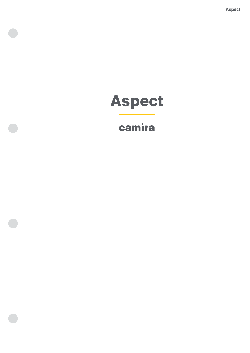Aspect

# Aspect

## camira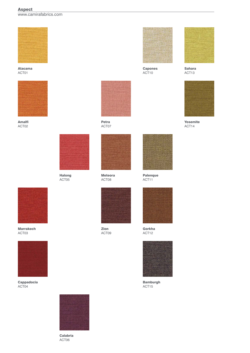### Aspect

www.camirafabrics.com



Atacama ACT01



Amalfi ACT02



Halong ACT05



Petra ACT07



Meteora ACT08



Zion ACT09



Capones ACT10



Sahara ACT13



Yosemite ACT14



Marrakech ACT03



Cappadocia ACT04



Calabria ACT06





Gorkha ACT12



Bamburgh ACT15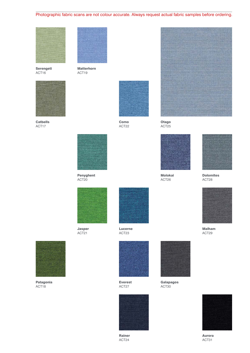### Photographic fabric scans are not colour accurate. Always request actual fabric samples before ordering.



Serengeti ACT16



Catbells ACT17



Matterhorn ACT19



ACT22





Molokai ACT26

Otago ACT25



Dolomites ACT28



Malham ACT29



Jasper ACT21



Lucerne ACT23



Patagonia ACT18



Everest ACT27



Rainer ACT24



Galapagos ACT30



Aurora ACT31